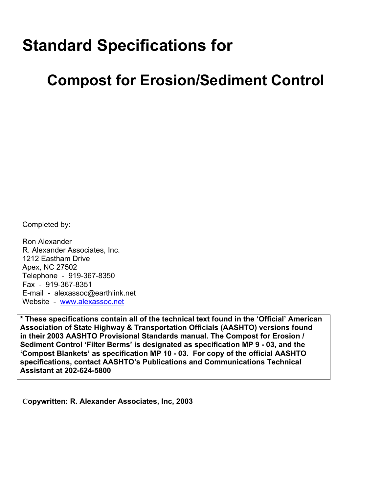# **Standard Specifications for**

# **Compost for Erosion/Sediment Control**

Completed by:

Ron Alexander R. Alexander Associates, Inc. 1212 Eastham Drive Apex, NC 27502 Telephone - 919-367-8350 Fax - 919-367-8351 E-mail - alexassoc@earthlink.net Website - www.alexassoc.net

**\* These specifications contain all of the technical text found in the 'Official' American Association of State Highway & Transportation Officials (AASHTO) versions found in their 2003 AASHTO Provisional Standards manual. The Compost for Erosion / Sediment Control 'Filter Berms' is designated as specification MP 9 - 03, and the 'Compost Blankets' as specification MP 10 - 03. For copy of the official AASHTO specifications, contact AASHTO's Publications and Communications Technical Assistant at 202-624-5800** 

**Copywritten: R. Alexander Associates, Inc, 2003**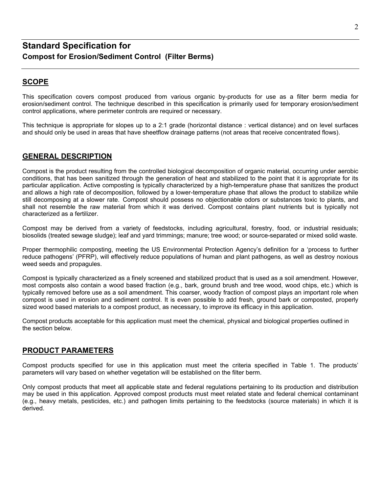# **Standard Specification for Compost for Erosion/Sediment Control (Filter Berms)**

## **SCOPE**

This specification covers compost produced from various organic by-products for use as a filter berm media for erosion/sediment control. The technique described in this specification is primarily used for temporary erosion/sediment control applications, where perimeter controls are required or necessary.

This technique is appropriate for slopes up to a 2:1 grade (horizontal distance : vertical distance) and on level surfaces and should only be used in areas that have sheetflow drainage patterns (not areas that receive concentrated flows).

## **GENERAL DESCRIPTION**

Compost is the product resulting from the controlled biological decomposition of organic material, occurring under aerobic conditions, that has been sanitized through the generation of heat and stabilized to the point that it is appropriate for its particular application. Active composting is typically characterized by a high-temperature phase that sanitizes the product and allows a high rate of decomposition, followed by a lower-temperature phase that allows the product to stabilize while still decomposing at a slower rate. Compost should possess no objectionable odors or substances toxic to plants, and shall not resemble the raw material from which it was derived. Compost contains plant nutrients but is typically not characterized as a fertilizer.

Compost may be derived from a variety of feedstocks, including agricultural, forestry, food, or industrial residuals; biosolids (treated sewage sludge); leaf and yard trimmings; manure; tree wood; or source-separated or mixed solid waste.

Proper thermophilic composting, meeting the US Environmental Protection Agency's definition for a 'process to further reduce pathogens' (PFRP), will effectively reduce populations of human and plant pathogens, as well as destroy noxious weed seeds and propagules.

Compost is typically characterized as a finely screened and stabilized product that is used as a soil amendment. However, most composts also contain a wood based fraction (e.g., bark, ground brush and tree wood, wood chips, etc.) which is typically removed before use as a soil amendment. This coarser, woody fraction of compost plays an important role when compost is used in erosion and sediment control. It is even possible to add fresh, ground bark or composted, properly sized wood based materials to a compost product, as necessary, to improve its efficacy in this application.

Compost products acceptable for this application must meet the chemical, physical and biological properties outlined in the section below.

#### **PRODUCT PARAMETERS**

Compost products specified for use in this application must meet the criteria specified in Table 1. The products' parameters will vary based on whether vegetation will be established on the filter berm.

Only compost products that meet all applicable state and federal regulations pertaining to its production and distribution may be used in this application. Approved compost products must meet related state and federal chemical contaminant (e.g., heavy metals, pesticides, etc.) and pathogen limits pertaining to the feedstocks (source materials) in which it is derived.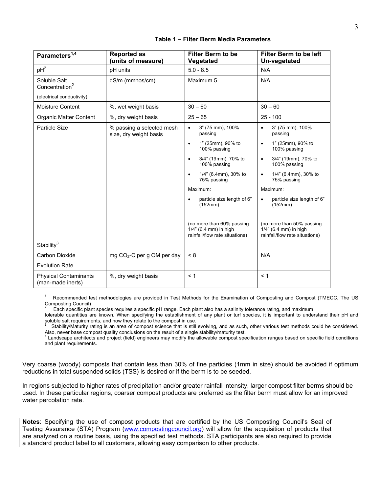#### **Table 1 – Filter Berm Media Parameters**

| Parameters <sup>1,4</sup>                         | <b>Reported as</b><br>(units of measure)            | Filter Berm to be<br>Vegetated                                                          | <b>Filter Berm to be left</b><br>Un-vegetated                                           |
|---------------------------------------------------|-----------------------------------------------------|-----------------------------------------------------------------------------------------|-----------------------------------------------------------------------------------------|
| $pH^2$                                            | pH units                                            | $5.0 - 8.5$                                                                             | N/A                                                                                     |
| Soluble Salt<br>Concentration <sup>2</sup>        | dS/m (mmhos/cm)                                     | Maximum 5                                                                               | N/A                                                                                     |
| (electrical conductivity)                         |                                                     |                                                                                         |                                                                                         |
| <b>Moisture Content</b>                           | %, wet weight basis                                 | $30 - 60$                                                                               | $30 - 60$                                                                               |
| <b>Organic Matter Content</b>                     | %, dry weight basis                                 | $25 - 65$                                                                               | $25 - 100$                                                                              |
| Particle Size                                     | % passing a selected mesh<br>size, dry weight basis | 3" (75 mm), 100%<br>$\bullet$<br>passing                                                | 3" (75 mm), 100%<br>$\bullet$<br>passing                                                |
|                                                   |                                                     | 1" (25mm), 90% to<br>$\bullet$<br>100% passing                                          | 1" (25mm), 90% to<br>$\bullet$<br>100% passing                                          |
|                                                   |                                                     | 3/4" (19mm), 70% to<br>$\bullet$<br>100% passing                                        | 3/4" (19mm), 70% to<br>$\bullet$<br>100% passing                                        |
|                                                   |                                                     | 1/4" (6.4mm), 30% to<br>$\bullet$<br>75% passing                                        | 1/4" (6.4mm), 30% to<br>$\bullet$<br>75% passing                                        |
|                                                   |                                                     | Maximum:                                                                                | Maximum:                                                                                |
|                                                   |                                                     | particle size length of 6"<br>(152mm)                                                   | particle size length of 6"<br>$\bullet$<br>(152mm)                                      |
|                                                   |                                                     | (no more than 60% passing<br>$1/4$ " (6.4 mm) in high<br>rainfall/flow rate situations) | (no more than 50% passing<br>$1/4$ " (6.4 mm) in high<br>rainfall/flow rate situations) |
| Stability <sup>3</sup>                            |                                                     |                                                                                         |                                                                                         |
| Carbon Dioxide                                    | mg CO <sub>2</sub> -C per g OM per day              | < 8                                                                                     | N/A                                                                                     |
| <b>Evolution Rate</b>                             |                                                     |                                                                                         |                                                                                         |
| <b>Physical Contaminants</b><br>(man-made inerts) | %, dry weight basis                                 | < 1                                                                                     | < 1                                                                                     |

**1** Recommended test methodologies are provided in Test Methods for the Examination of Composting and Compost (TMECC, The US Composting Council) 2

Each specific plant species requires a specific pH range. Each plant also has a salinity tolerance rating, and maximum

tolerable quantities are known. When specifying the establishment of any plant or turf species, it is important to understand their pH and soluble salt requirements, and how they relate to the compost in use.

**<sup>3</sup>**Stability/Maturity rating is an area of compost science that is still evolving, and as such, other various test methods could be considered. Also, never base compost quality conclusions on the result of a single stability/maturity test.<br><sup>4</sup> Landscape architects and project (field) engineers may modify the allowable compost specification ranges based on specific

and plant requirements.

Very coarse (woody) composts that contain less than 30% of fine particles (1mm in size) should be avoided if optimum reductions in total suspended solids (TSS) is desired or if the berm is to be seeded.

In regions subjected to higher rates of precipitation and/or greater rainfall intensity, larger compost filter berms should be used. In these particular regions, coarser compost products are preferred as the filter berm must allow for an improved water percolation rate.

**Notes**: Specifying the use of compost products that are certified by the US Composting Council's Seal of Testing Assurance (STA) Program (www.compostingcouncil.org) will allow for the acquisition of products that are analyzed on a routine basis, using the specified test methods. STA participants are also required to provide a standard product label to all customers, allowing easy comparison to other products.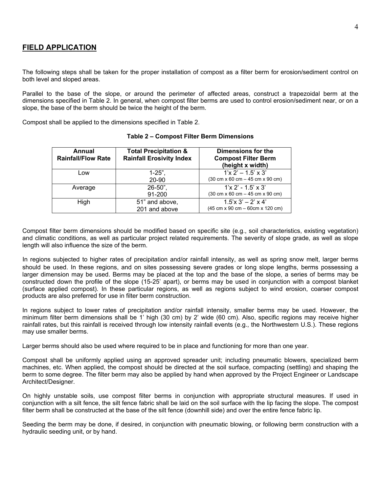## **FIELD APPLICATION**

The following steps shall be taken for the proper installation of compost as a filter berm for erosion/sediment control on both level and sloped areas.

Parallel to the base of the slope, or around the perimeter of affected areas, construct a trapezoidal berm at the dimensions specified in Table 2. In general, when compost filter berms are used to control erosion/sediment near, or on a slope, the base of the berm should be twice the height of the berm.

Compost shall be applied to the dimensions specified in Table 2.

| Annual<br><b>Rainfall/Flow Rate</b> | <b>Total Precipitation &amp;</b><br><b>Rainfall Erosivity Index</b> | Dimensions for the<br><b>Compost Filter Berm</b><br>(height x width)                                            |
|-------------------------------------|---------------------------------------------------------------------|-----------------------------------------------------------------------------------------------------------------|
| Low                                 | $1-25$ ",<br>20-90                                                  | $1'x 2' - 1.5'x 3'$<br>$(30 \text{ cm} \times 60 \text{ cm} - 45 \text{ cm} \times 90 \text{ cm})$              |
| Average                             | $26 - 50$ ",<br>91-200                                              | $1'$ x 2' - 1.5' x 3'<br>$(30 \text{ cm} \times 60 \text{ cm} - 45 \text{ cm} \times 90 \text{ cm})$            |
| High                                | 51" and above,<br>201 and above                                     | $1.5' \times 3' - 2' \times 4'$<br>$(45 \text{ cm} \times 90 \text{ cm} - 60 \text{ cm} \times 120 \text{ cm})$ |

#### **Table 2 – Compost Filter Berm Dimensions**

Compost filter berm dimensions should be modified based on specific site (e.g., soil characteristics, existing vegetation) and climatic conditions, as well as particular project related requirements. The severity of slope grade, as well as slope length will also influence the size of the berm.

In regions subjected to higher rates of precipitation and/or rainfall intensity, as well as spring snow melt, larger berms should be used. In these regions, and on sites possessing severe grades or long slope lengths, berms possessing a larger dimension may be used. Berms may be placed at the top and the base of the slope, a series of berms may be constructed down the profile of the slope (15-25' apart), or berms may be used in conjunction with a compost blanket (surface applied compost). In these particular regions, as well as regions subject to wind erosion, coarser compost products are also preferred for use in filter berm construction.

In regions subject to lower rates of precipitation and/or rainfall intensity, smaller berms may be used. However, the minimum filter berm dimensions shall be 1' high (30 cm) by 2' wide (60 cm). Also, specific regions may receive higher rainfall rates, but this rainfall is received through low intensity rainfall events (e.g., the Northwestern U.S.). These regions may use smaller berms.

Larger berms should also be used where required to be in place and functioning for more than one year.

Compost shall be uniformly applied using an approved spreader unit; including pneumatic blowers, specialized berm machines, etc. When applied, the compost should be directed at the soil surface, compacting (settling) and shaping the berm to some degree. The filter berm may also be applied by hand when approved by the Project Engineer or Landscape Architect/Designer.

On highly unstable soils, use compost filter berms in conjunction with appropriate structural measures. If used in conjunction with a silt fence, the silt fence fabric shall be laid on the soil surface with the lip facing the slope. The compost filter berm shall be constructed at the base of the silt fence (downhill side) and over the entire fence fabric lip.

Seeding the berm may be done, if desired, in conjunction with pneumatic blowing, or following berm construction with a hydraulic seeding unit, or by hand.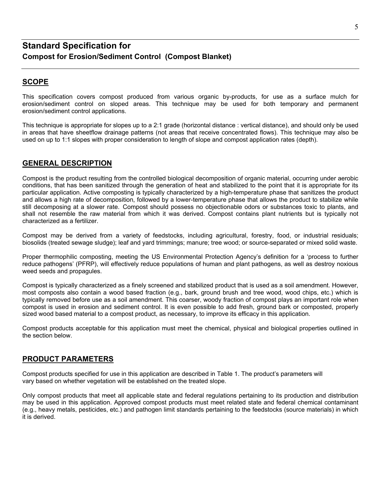# **Standard Specification for Compost for Erosion/Sediment Control (Compost Blanket)**

## **SCOPE**

This specification covers compost produced from various organic by-products, for use as a surface mulch for erosion/sediment control on sloped areas. This technique may be used for both temporary and permanent erosion/sediment control applications.

This technique is appropriate for slopes up to a 2:1 grade (horizontal distance : vertical distance), and should only be used in areas that have sheetflow drainage patterns (not areas that receive concentrated flows). This technique may also be used on up to 1:1 slopes with proper consideration to length of slope and compost application rates (depth).

## **GENERAL DESCRIPTION**

Compost is the product resulting from the controlled biological decomposition of organic material, occurring under aerobic conditions, that has been sanitized through the generation of heat and stabilized to the point that it is appropriate for its particular application. Active composting is typically characterized by a high-temperature phase that sanitizes the product and allows a high rate of decomposition, followed by a lower-temperature phase that allows the product to stabilize while still decomposing at a slower rate. Compost should possess no objectionable odors or substances toxic to plants, and shall not resemble the raw material from which it was derived. Compost contains plant nutrients but is typically not characterized as a fertilizer.

Compost may be derived from a variety of feedstocks, including agricultural, forestry, food, or industrial residuals; biosolids (treated sewage sludge); leaf and yard trimmings; manure; tree wood; or source-separated or mixed solid waste.

Proper thermophilic composting, meeting the US Environmental Protection Agency's definition for a 'process to further reduce pathogens' (PFRP), will effectively reduce populations of human and plant pathogens, as well as destroy noxious weed seeds and propagules.

Compost is typically characterized as a finely screened and stabilized product that is used as a soil amendment. However, most composts also contain a wood based fraction (e.g., bark, ground brush and tree wood, wood chips, etc.) which is typically removed before use as a soil amendment. This coarser, woody fraction of compost plays an important role when compost is used in erosion and sediment control. It is even possible to add fresh, ground bark or composted, properly sized wood based material to a compost product, as necessary, to improve its efficacy in this application.

Compost products acceptable for this application must meet the chemical, physical and biological properties outlined in the section below.

#### **PRODUCT PARAMETERS**

Compost products specified for use in this application are described in Table 1. The product's parameters will vary based on whether vegetation will be established on the treated slope.

Only compost products that meet all applicable state and federal regulations pertaining to its production and distribution may be used in this application. Approved compost products must meet related state and federal chemical contaminant (e.g., heavy metals, pesticides, etc.) and pathogen limit standards pertaining to the feedstocks (source materials) in which it is derived.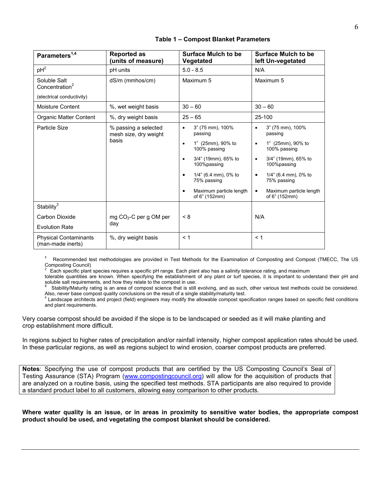#### **Table 1 – Compost Blanket Parameters**

| Parameters <sup>1,4</sup>                         | <b>Reported as</b><br>(units of measure)               | <b>Surface Mulch to be</b><br>Vegetated               | <b>Surface Mulch to be</b><br>left Un-vegetated     |
|---------------------------------------------------|--------------------------------------------------------|-------------------------------------------------------|-----------------------------------------------------|
| $pH^2$                                            | pH units                                               | $5.0 - 8.5$                                           | N/A                                                 |
| Soluble Salt<br>Concentration                     | dS/m (mmhos/cm)                                        | Maximum 5                                             | Maximum 5                                           |
| (electrical conductivity)                         |                                                        |                                                       |                                                     |
| <b>Moisture Content</b>                           | %, wet weight basis                                    | $30 - 60$                                             | $30 - 60$                                           |
| Organic Matter Content                            | %, dry weight basis                                    | $25 - 65$                                             | 25-100                                              |
| <b>Particle Size</b>                              | % passing a selected<br>mesh size, dry weight<br>basis | 3" (75 mm), 100%<br>$\bullet$<br>passing              | 3" (75 mm), 100%<br>$\bullet$<br>passing            |
|                                                   |                                                        | 1" (25mm), 90% to<br>$\bullet$<br>100% passing        | 1" (25mm), 90% to<br>$\bullet$<br>100% passing      |
|                                                   |                                                        | 3/4" (19mm), 65% to<br>٠<br>100%passing               | 3/4" (19mm), 65% to<br>٠<br>100%passing             |
|                                                   |                                                        | $1/4$ " (6.4 mm), 0% to<br>$\bullet$<br>75% passing   | $1/4$ " (6.4 mm), 0% to<br>$\bullet$<br>75% passing |
|                                                   |                                                        | Maximum particle length<br>$\bullet$<br>of 6" (152mm) | Maximum particle length<br>of 6" (152mm)            |
| Stability <sup>3</sup>                            |                                                        |                                                       |                                                     |
| Carbon Dioxide                                    | mg $CO2$ -C per g OM per<br>day                        | < 8                                                   | N/A                                                 |
| <b>Evolution Rate</b>                             |                                                        |                                                       |                                                     |
| <b>Physical Contaminants</b><br>(man-made inerts) | %, dry weight basis                                    | < 1                                                   | < 1                                                 |

**1** Recommended test methodologies are provided in Test Methods for the Examination of Composting and Compost (TMECC, The US Composting Council)

Each specific plant species requires a specific pH range. Each plant also has a salinity tolerance rating, and maximum

tolerable quantities are known. When specifying the establishment of any plant or turf species, it is important to understand their pH and soluble salt requirements, and how they relate to the compost in use.

**<sup>3</sup>**Stability/Maturity rating is an area of compost science that is still evolving, and as such, other various test methods could be considered.

Also, never base compost quality conclusions on the result of a single stability/maturity test.<br><sup>4</sup> Landscape architects and project (field) engineers may modify the allowable compost specification ranges based on specific and plant requirements.

Very coarse compost should be avoided if the slope is to be landscaped or seeded as it will make planting and crop establishment more difficult.

In regions subject to higher rates of precipitation and/or rainfall intensity, higher compost application rates should be used. In these particular regions, as well as regions subject to wind erosion, coarser compost products are preferred.

**Notes**: Specifying the use of compost products that are certified by the US Composting Council's Seal of Testing Assurance (STA) Program (www.compostingcouncil.org) will allow for the acquisition of products that are analyzed on a routine basis, using the specified test methods. STA participants are also required to provide a standard product label to all customers, allowing easy comparison to other products.

**Where water quality is an issue, or in areas in proximity to sensitive water bodies, the appropriate compost product should be used, and vegetating the compost blanket should be considered.**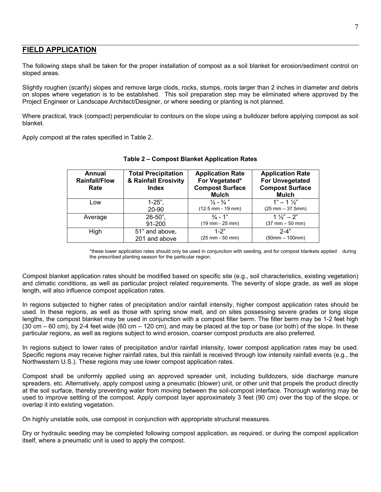#### **FIELD APPLICATION**

The following steps shall be taken for the proper installation of compost as a soil blanket for erosion/sediment control on sloped areas.

Slightly roughen (scarify) slopes and remove large clods, rocks, stumps, roots larger than 2 inches in diameter and debris on slopes where vegetation is to be established. This soil preparation step may be eliminated where approved by the Project Engineer or Landscape Architect/Designer, or where seeding or planting is not planned.

Where practical, track (compact) perpendicular to contours on the slope using a bulldozer before applying compost as soil blanket.

Apply compost at the rates specified in Table 2.

| Annual<br><b>Rainfall/Flow</b><br>Rate | <b>Total Precipitation</b><br>& Rainfall Erosivity<br>Index | <b>Application Rate</b><br>For Vegetated*<br><b>Compost Surface</b><br><b>Mulch</b> | <b>Application Rate</b><br><b>For Unvegetated</b><br><b>Compost Surface</b><br><b>Mulch</b> |
|----------------------------------------|-------------------------------------------------------------|-------------------------------------------------------------------------------------|---------------------------------------------------------------------------------------------|
| Low                                    | $1-25$ ",                                                   | $\frac{1}{2}$ - $\frac{3}{4}$ "                                                     | $1" - 1\frac{1}{2}"$                                                                        |
|                                        | 20-90                                                       | $(12.5$ mm - 19 mm)                                                                 | $(25 \, \text{mm} - 37.5 \, \text{mm})$                                                     |
| Average                                | $26-50$ ",                                                  | $\frac{3}{4}$ - 1"                                                                  | $1\frac{1}{2}$ – 2"                                                                         |
|                                        | 91-200                                                      | $(19$ mm - $25$ mm)                                                                 | $(37 \, \text{mm} - 50 \, \text{mm})$                                                       |
| High                                   | 51" and above,                                              | $1 - 2$ "                                                                           | $2 - 4"$                                                                                    |
|                                        | 201 and above                                               | (25 mm - 50 mm)                                                                     | $(50mm - 100mm)$                                                                            |

#### **Table 2 – Compost Blanket Application Rates**

\*these lower application rates should only be used in conjunction with seeding, and for compost blankets applied during the prescribed planting season for the particular region.

Compost blanket application rates should be modified based on specific site (e.g., soil characteristics, existing vegetation) and climatic conditions, as well as particular project related requirements. The severity of slope grade, as well as slope length, will also influence compost application rates.

In regions subjected to higher rates of precipitation and/or rainfall intensity, higher compost application rates should be used. In these regions, as well as those with spring snow melt, and on sites possessing severe grades or long slope lengths, the compost blanket may be used in conjunction with a compost filter berm. The filter berm may be 1-2 feet high (30 cm – 60 cm), by 2-4 feet wide (60 cm – 120 cm), and may be placed at the top or base (or both) of the slope. In these particular regions, as well as regions subject to wind erosion, coarser compost products are also preferred.

In regions subject to lower rates of precipitation and/or rainfall intensity, lower compost application rates may be used. Specific regions may receive higher rainfall rates, but this rainfall is received through low intensity rainfall events (e.g., the Northwestern U.S.). These regions may use lower compost application rates.

Compost shall be uniformly applied using an approved spreader unit, including bulldozers, side discharge manure spreaders, etc. Alternatively, apply compost using a pneumatic (blower) unit, or other unit that propels the product directly at the soil surface, thereby preventing water from moving between the soil-compost interface. Thorough watering may be used to improve settling of the compost. Apply compost layer approximately 3 feet (90 cm) over the top of the slope, or overlap it into existing vegetation.

On highly unstable soils, use compost in conjunction with appropriate structural measures.

Dry or hydraulic seeding may be completed following compost application, as required, or during the compost application itself, where a pneumatic unit is used to apply the compost.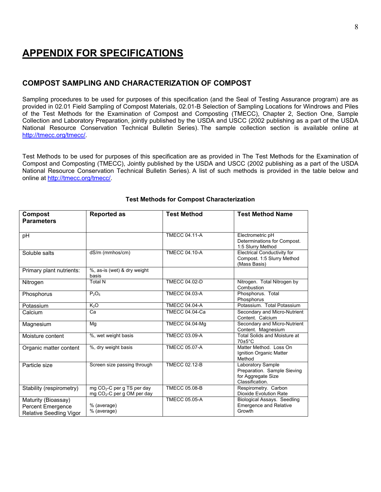# **APPENDIX FOR SPECIFICATIONS**

## **COMPOST SAMPLING AND CHARACTERIZATION OF COMPOST**

Sampling procedures to be used for purposes of this specification (and the Seal of Testing Assurance program) are as provided in 02.01 Field Sampling of Compost Materials, 02.01-B Selection of Sampling Locations for Windrows and Piles of the Test Methods for the Examination of Compost and Composting (TMECC), Chapter 2, Section One, Sample Collection and Laboratory Preparation, jointly published by the USDA and USCC (2002 publishing as a part of the USDA National Resource Conservation Technical Bulletin Series). The sample collection section is available online at http://tmecc.org/tmecc/.

Test Methods to be used for purposes of this specification are as provided in The Test Methods for the Examination of Compost and Composting (TMECC), Jointly published by the USDA and USCC (2002 publishing as a part of the USDA National Resource Conservation Technical Bulletin Series). A list of such methods is provided in the table below and online at http://tmecc.org/tmecc/.

| <b>Compost</b><br><b>Parameters</b>                                        | <b>Reported as</b>                                                               | <b>Test Method</b>    | <b>Test Method Name</b>                                                                   |
|----------------------------------------------------------------------------|----------------------------------------------------------------------------------|-----------------------|-------------------------------------------------------------------------------------------|
| pH                                                                         |                                                                                  | <b>TMECC 04.11-A</b>  | Electrometric pH<br>Determinations for Compost.<br>1:5 Slurry Method                      |
| Soluble salts                                                              | dS/m (mmhos/cm)                                                                  | <b>TMECC 04.10-A</b>  | <b>Electrical Conductivity for</b><br>Compost. 1:5 Slurry Method<br>(Mass Basis)          |
| Primary plant nutrients:                                                   | %, as-is (wet) & dry weight<br>basis                                             |                       |                                                                                           |
| Nitrogen                                                                   | <b>Total N</b>                                                                   | <b>TMECC 04.02-D</b>  | Nitrogen. Total Nitrogen by<br>Combustion                                                 |
| Phosphorus                                                                 | $P_2O_5$                                                                         | <b>TMECC 04.03-A</b>  | Phosphorus. Total<br>Phosphorus                                                           |
| Potassium                                                                  | K <sub>2</sub> O                                                                 | <b>TMECC 04.04-A</b>  | Potassium. Total Potassium                                                                |
| Calcium                                                                    | Ca                                                                               | <b>TMECC 04.04-Ca</b> | Secondary and Micro-Nutrient<br>Content. Calcium                                          |
| Magnesium                                                                  | Mg                                                                               | <b>TMECC 04.04-Mq</b> | Secondary and Micro-Nutrient<br>Content. Magnesium                                        |
| Moisture content                                                           | %, wet weight basis                                                              | TMECC 03.09-A         | <b>Total Solids and Moisture at</b><br>$70\pm5$ °C                                        |
| Organic matter content                                                     | %, dry weight basis                                                              | <b>TMECC 05.07-A</b>  | Matter Method. Loss On<br>Ignition Organic Matter<br>Method                               |
| Particle size                                                              | Screen size passing through                                                      | <b>TMECC 02.12-B</b>  | Laboratory Sample<br>Preparation. Sample Sieving<br>for Aggregate Size<br>Classification. |
| Stability (respirometry)                                                   | mg CO <sub>2</sub> -C per g TS per day<br>mg CO <sub>2</sub> -C per g OM per day | <b>TMECC 05.08-B</b>  | Respirometry. Carbon<br>Dioxide Evolution Rate                                            |
| Maturity (Bioassay)<br>Percent Emergence<br><b>Relative Seedling Vigor</b> | % (average)<br>% (average)                                                       | <b>TMECC 05.05-A</b>  | <b>Biological Assays</b> . Seedling<br><b>Emergence and Relative</b><br>Growth            |

#### **Test Methods for Compost Characterization**